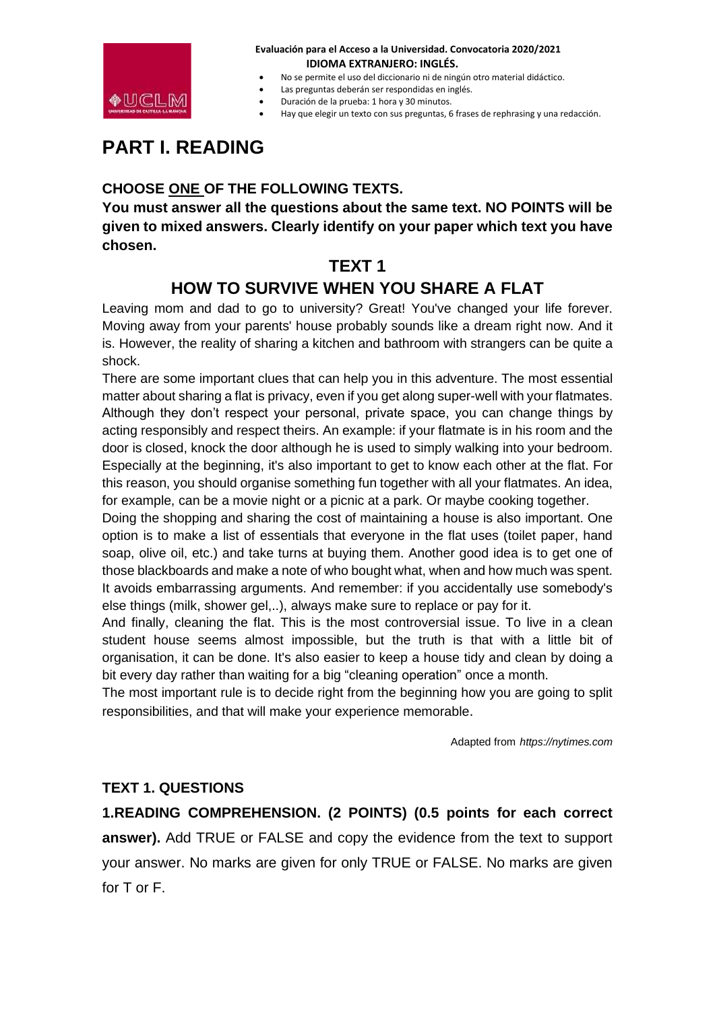

- No se permite el uso del diccionario ni de ningún otro material didáctico.
- Las preguntas deberán ser respondidas en inglés.
- Duración de la prueba: 1 hora y 30 minutos.
- Hay que elegir un texto con sus preguntas, 6 frases de rephrasing y una redacción.

# **PART I. READING**

## **CHOOSE ONE OF THE FOLLOWING TEXTS.**

**You must answer all the questions about the same text. NO POINTS will be given to mixed answers. Clearly identify on your paper which text you have chosen.**

## **TEXT 1**

## **HOW TO SURVIVE WHEN YOU SHARE A FLAT**

Leaving mom and dad to go to university? Great! You've changed your life forever. Moving away from your parents' house probably sounds like a dream right now. And it is. However, the reality of sharing a kitchen and bathroom with strangers can be quite a shock.

There are some important clues that can help you in this adventure. The most essential matter about sharing a flat is privacy, even if you get along super-well with your flatmates. Although they don't respect your personal, private space, you can change things by acting responsibly and respect theirs. An example: if your flatmate is in his room and the door is closed, knock the door although he is used to simply walking into your bedroom. Especially at the beginning, it's also important to get to know each other at the flat. For this reason, you should organise something fun together with all your flatmates. An idea, for example, can be a movie night or a picnic at a park. Or maybe cooking together.

Doing the shopping and sharing the cost of maintaining a house is also important. One option is to make a list of essentials that everyone in the flat uses (toilet paper, hand soap, olive oil, etc.) and take turns at buying them. Another good idea is to get one of those blackboards and make a note of who bought what, when and how much was spent. It avoids embarrassing arguments. And remember: if you accidentally use somebody's else things (milk, shower gel,..), always make sure to replace or pay for it.

And finally, cleaning the flat. This is the most controversial issue. To live in a clean student house seems almost impossible, but the truth is that with a little bit of organisation, it can be done. It's also easier to keep a house tidy and clean by doing a bit every day rather than waiting for a big "cleaning operation" once a month.

The most important rule is to decide right from the beginning how you are going to split responsibilities, and that will make your experience memorable.

Adapted from *https://nytimes.com*

### **TEXT 1. QUESTIONS**

**1.READING COMPREHENSION. (2 POINTS) (0.5 points for each correct answer).** Add TRUE or FALSE and copy the evidence from the text to support your answer. No marks are given for only TRUE or FALSE. No marks are given for T or F.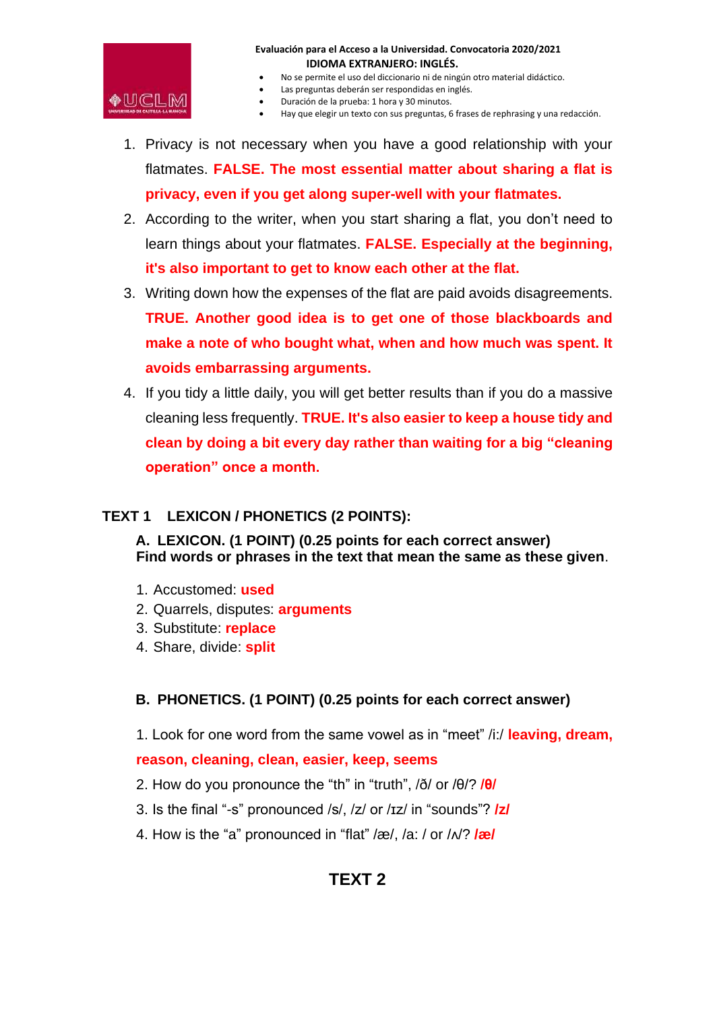

- No se permite el uso del diccionario ni de ningún otro material didáctico.
- Las preguntas deberán ser respondidas en inglés.
- Duración de la prueba: 1 hora y 30 minutos.
- Hay que elegir un texto con sus preguntas, 6 frases de rephrasing y una redacción.
- 1. Privacy is not necessary when you have a good relationship with your flatmates. **FALSE. The most essential matter about sharing a flat is privacy, even if you get along super-well with your flatmates.**
- 2. According to the writer, when you start sharing a flat, you don't need to learn things about your flatmates. **FALSE. Especially at the beginning, it's also important to get to know each other at the flat.**
- 3. Writing down how the expenses of the flat are paid avoids disagreements. **TRUE. Another good idea is to get one of those blackboards and make a note of who bought what, when and how much was spent. It avoids embarrassing arguments.**
- 4. If you tidy a little daily, you will get better results than if you do a massive cleaning less frequently. **TRUE. It's also easier to keep a house tidy and clean by doing a bit every day rather than waiting for a big "cleaning operation" once a month.**

### **TEXT 1 LEXICON / PHONETICS (2 POINTS):**

**A. LEXICON. (1 POINT) (0.25 points for each correct answer) Find words or phrases in the text that mean the same as these given**.

- 1. Accustomed: **used**
- 2. Quarrels, disputes: **arguments**
- 3. Substitute: **replace**
- 4. Share, divide: **split**

### **B. PHONETICS. (1 POINT) (0.25 points for each correct answer)**

1. Look for one word from the same vowel as in "meet" /i:/ **leaving, dream,**

### **reason, cleaning, clean, easier, keep, seems**

- 2. How do you pronounce the "th" in "truth", /ð/ or /θ/? **/θ/**
- 3. Is the final "-s" pronounced /s/, /z/ or /ɪz/ in "sounds"? **/z/**
- 4. How is the "a" pronounced in "flat" /æ/, /a: / or /ʌ/? **/æ/**

## **TEXT 2**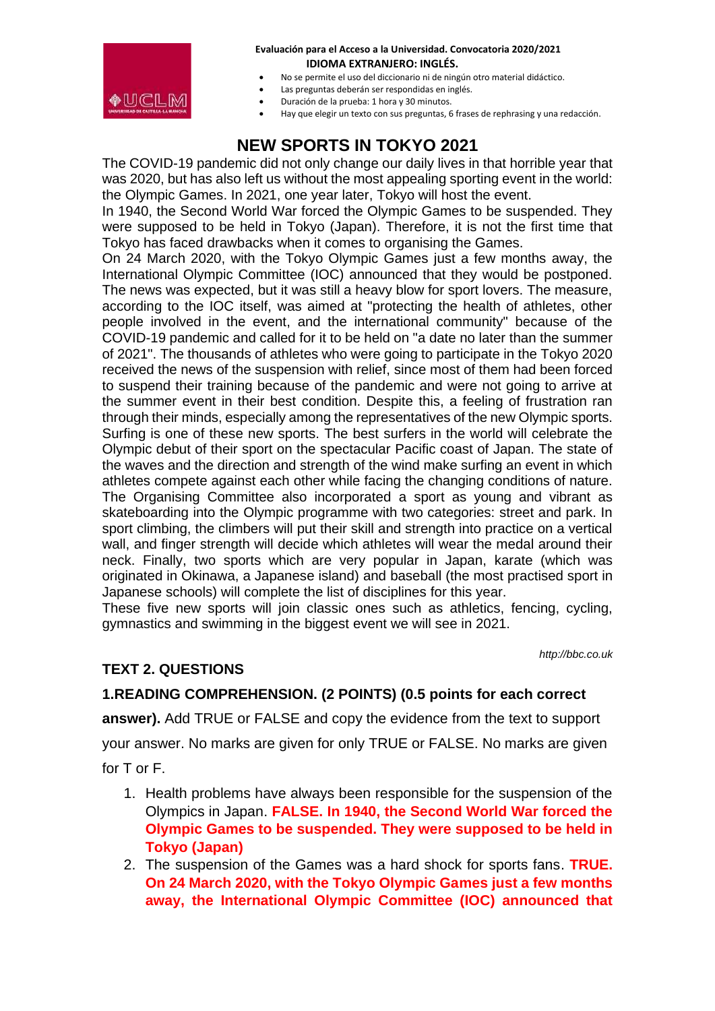

- No se permite el uso del diccionario ni de ningún otro material didáctico.
- Las preguntas deberán ser respondidas en inglés.
- Duración de la prueba: 1 hora y 30 minutos.
- Hay que elegir un texto con sus preguntas, 6 frases de rephrasing y una redacción.

# **NEW SPORTS IN TOKYO 2021**

The COVID-19 pandemic did not only change our daily lives in that horrible year that was 2020, but has also left us without the most appealing sporting event in the world: the Olympic Games. In 2021, one year later, Tokyo will host the event.

In 1940, the Second World War forced the Olympic Games to be suspended. They were supposed to be held in Tokyo (Japan). Therefore, it is not the first time that Tokyo has faced drawbacks when it comes to organising the Games.

On 24 March 2020, with the Tokyo Olympic Games just a few months away, the International Olympic Committee (IOC) announced that they would be postponed. The news was expected, but it was still a heavy blow for sport lovers. The measure, according to the IOC itself, was aimed at "protecting the health of athletes, other people involved in the event, and the international community" because of the COVID-19 pandemic and called for it to be held on "a date no later than the summer of 2021". The thousands of athletes who were going to participate in the Tokyo 2020 received the news of the suspension with relief, since most of them had been forced to suspend their training because of the pandemic and were not going to arrive at the summer event in their best condition. Despite this, a feeling of frustration ran through their minds, especially among the representatives of the new Olympic sports. Surfing is one of these new sports. The best surfers in the world will celebrate the Olympic debut of their sport on the spectacular Pacific coast of Japan. The state of the waves and the direction and strength of the wind make surfing an event in which athletes compete against each other while facing the changing conditions of nature. The Organising Committee also incorporated a sport as young and vibrant as skateboarding into the Olympic programme with two categories: street and park. In sport climbing, the climbers will put their skill and strength into practice on a vertical wall, and finger strength will decide which athletes will wear the medal around their neck. Finally, two sports which are very popular in Japan, karate (which was originated in Okinawa, a Japanese island) and baseball (the most practised sport in Japanese schools) will complete the list of disciplines for this year.

These five new sports will join classic ones such as athletics, fencing, cycling, gymnastics and swimming in the biggest event we will see in 2021.

*http://bbc.co.uk*

### **TEXT 2. QUESTIONS**

### **1.READING COMPREHENSION. (2 POINTS) (0.5 points for each correct**

**answer).** Add TRUE or FALSE and copy the evidence from the text to support

your answer. No marks are given for only TRUE or FALSE. No marks are given for T or F.

- - 1. Health problems have always been responsible for the suspension of the Olympics in Japan. **FALSE. In 1940, the Second World War forced the Olympic Games to be suspended. They were supposed to be held in Tokyo (Japan)**
	- 2. The suspension of the Games was a hard shock for sports fans. **TRUE. On 24 March 2020, with the Tokyo Olympic Games just a few months away, the International Olympic Committee (IOC) announced that**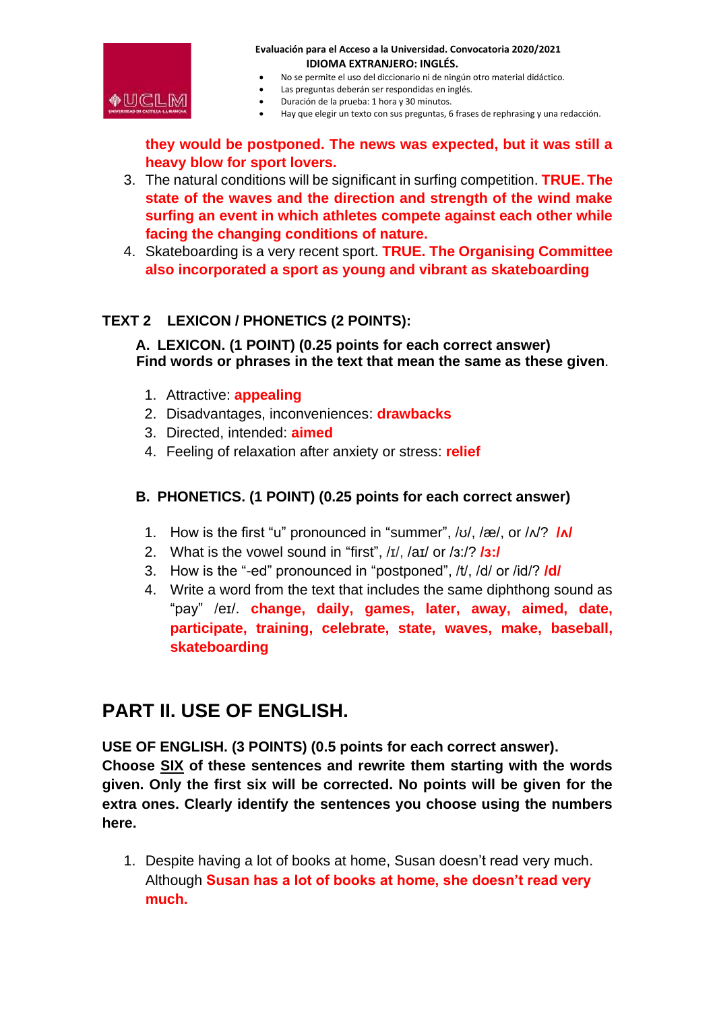

- No se permite el uso del diccionario ni de ningún otro material didáctico.
- Las preguntas deberán ser respondidas en inglés.
- Duración de la prueba: 1 hora y 30 minutos.
- Hay que elegir un texto con sus preguntas, 6 frases de rephrasing y una redacción.

**they would be postponed. The news was expected, but it was still a heavy blow for sport lovers.**

- 3. The natural conditions will be significant in surfing competition. **TRUE. The state of the waves and the direction and strength of the wind make surfing an event in which athletes compete against each other while facing the changing conditions of nature.**
- 4. Skateboarding is a very recent sport. **TRUE. The Organising Committee also incorporated a sport as young and vibrant as skateboarding**

### **TEXT 2 LEXICON / PHONETICS (2 POINTS):**

**A. LEXICON. (1 POINT) (0.25 points for each correct answer) Find words or phrases in the text that mean the same as these given**.

- 1. Attractive: **appealing**
- 2. Disadvantages, inconveniences: **drawbacks**
- 3. Directed, intended: **aimed**
- 4. Feeling of relaxation after anxiety or stress: **relief**

### **B. PHONETICS. (1 POINT) (0.25 points for each correct answer)**

- 1. How is the first "u" pronounced in "summer", /ʊ/, /æ/, or /ʌ/? **/ʌ/**
- 2. What is the vowel sound in "first", /ɪ/, /aɪ/ or /ɜ:/? **/ɜ:/**
- 3. How is the "-ed" pronounced in "postponed", /t/, /d/ or /id/? **/d/**
- 4. Write a word from the text that includes the same diphthong sound as "pay" /eɪ/. **change, daily, games, later, away, aimed, date, participate, training, celebrate, state, waves, make, baseball, skateboarding**

## **PART II. USE OF ENGLISH.**

**USE OF ENGLISH. (3 POINTS) (0.5 points for each correct answer). Choose SIX of these sentences and rewrite them starting with the words given. Only the first six will be corrected. No points will be given for the extra ones. Clearly identify the sentences you choose using the numbers here.** 

1. Despite having a lot of books at home, Susan doesn't read very much. Although **Susan has a lot of books at home, she doesn't read very much.**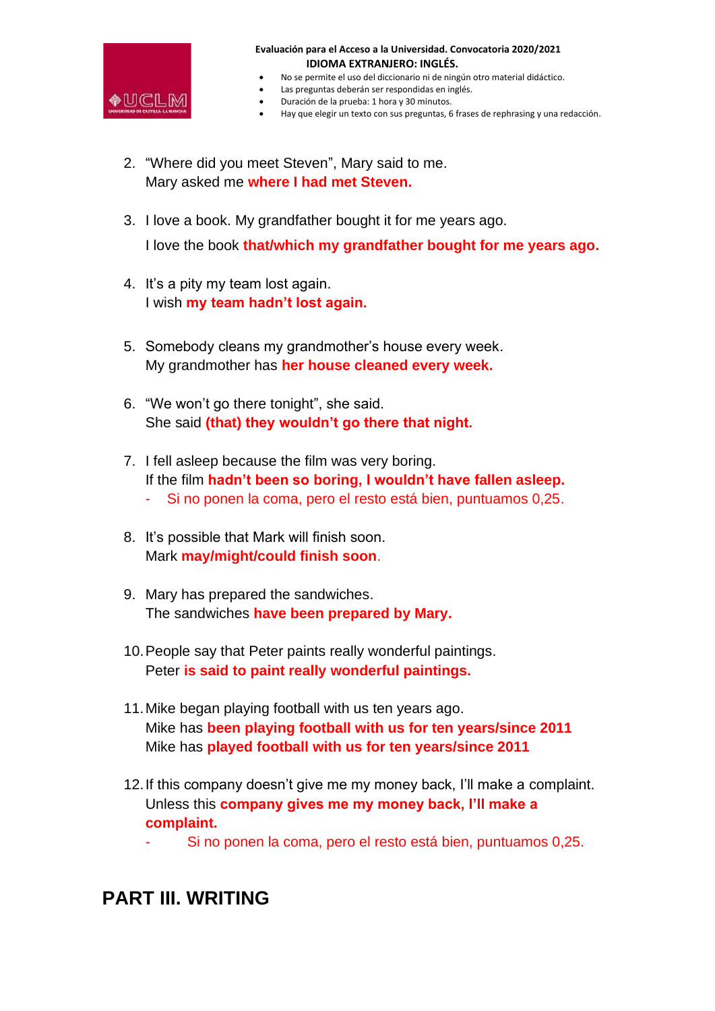

- No se permite el uso del diccionario ni de ningún otro material didáctico.
- Las preguntas deberán ser respondidas en inglés.
- Duración de la prueba: 1 hora y 30 minutos.
- Hay que elegir un texto con sus preguntas, 6 frases de rephrasing y una redacción.
- 2. "Where did you meet Steven", Mary said to me. Mary asked me **where I had met Steven.**
- 3. I love a book. My grandfather bought it for me years ago. I love the book **that/which my grandfather bought for me years ago.**
- 4. It's a pity my team lost again. I wish **my team hadn't lost again.**
- 5. Somebody cleans my grandmother's house every week. My grandmother has **her house cleaned every week.**
- 6. "We won't go there tonight", she said. She said **(that) they wouldn't go there that night.**
- 7. I fell asleep because the film was very boring. If the film **hadn't been so boring, I wouldn't have fallen asleep.**
	- Si no ponen la coma, pero el resto está bien, puntuamos 0,25.
- 8. It's possible that Mark will finish soon. Mark **may/might/could finish soon**.
- 9. Mary has prepared the sandwiches. The sandwiches **have been prepared by Mary.**
- 10.People say that Peter paints really wonderful paintings. Peter **is said to paint really wonderful paintings.**
- 11.Mike began playing football with us ten years ago. Mike has **been playing football with us for ten years/since 2011** Mike has **played football with us for ten years/since 2011**
- 12.If this company doesn't give me my money back, I'll make a complaint. Unless this **company gives me my money back, I'll make a complaint.**
	- Si no ponen la coma, pero el resto está bien, puntuamos 0,25.

# **PART III. WRITING**